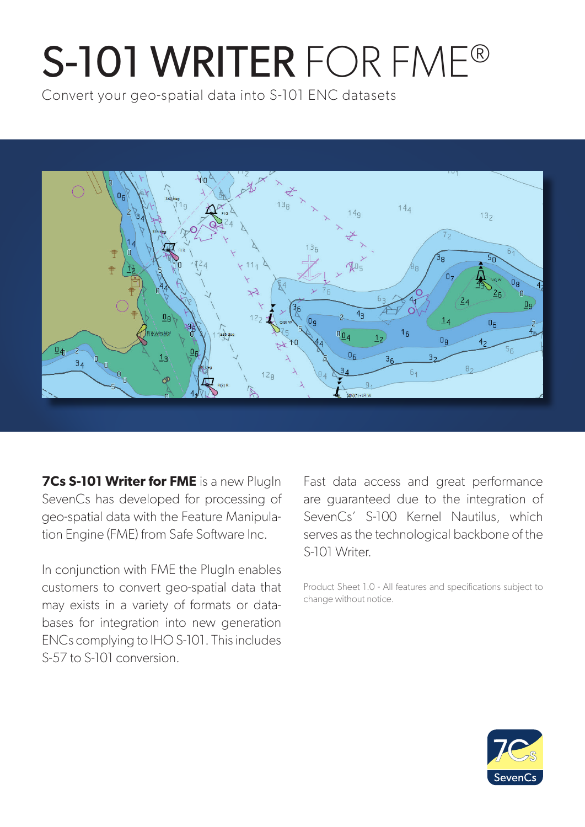# S-101 WRITER FOR FME®

Convert your geo-spatial data into S-101 ENC datasets



**7Cs S-101 Writer for FME** is a new PlugIn SevenCs has developed for processing of geo-spatial data with the Feature Manipulation Engine (FME) from Safe Software Inc.

In conjunction with FME the PlugIn enables customers to convert geo-spatial data that may exists in a variety of formats or databases for integration into new generation ENCs complying to IHO S-101. This includes S-57 to S-101 conversion.

Fast data access and great performance are guaranteed due to the integration of SevenCs' S-100 Kernel Nautilus, which serves as the technological backbone of the S-101 Writer.

Product Sheet 1.0 - All features and specifications subject to change without notice.

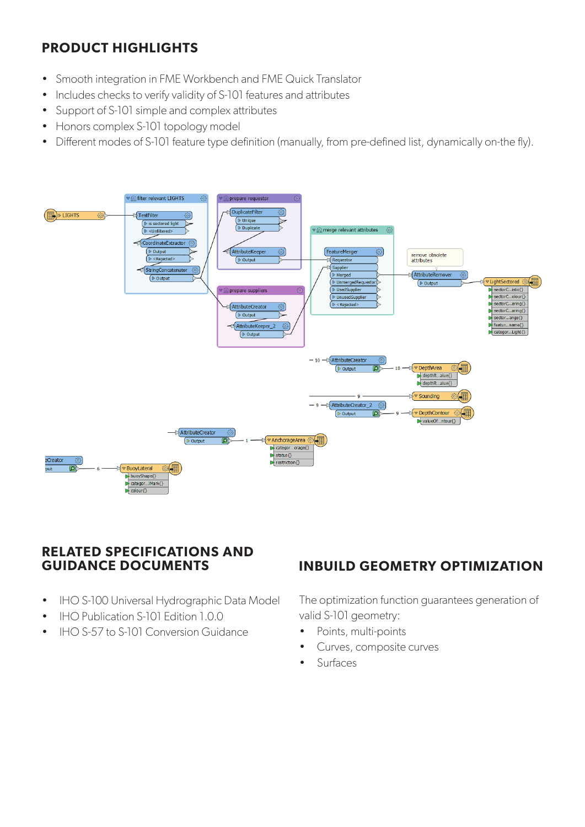# **PRODUCT HIGHLIGHTS**

- Smooth integration in FME Workbench and FME Quick Translator
- Includes checks to verify validity of S-101 features and attributes
- Support of S-101 simple and complex attributes
- Honors complex S-101 topology model
- Different modes of S-101 feature type definition (manually, from pre-defined list, dynamically on-the fly).



#### **RELATED SPECIFICATIONS AND GUIDANCE DOCUMENTS**

- IHO S-100 Universal Hydrographic Data Model
- IHO Publication S-101 Edition 1.0.0
- IHO S-57 to S-101 Conversion Guidance

## **INBUILD GEOMETRY OPTIMIZATION**

The optimization function guarantees generation of valid S-101 geometry:

- Points, multi-points
- Curves, composite curves
- Surfaces